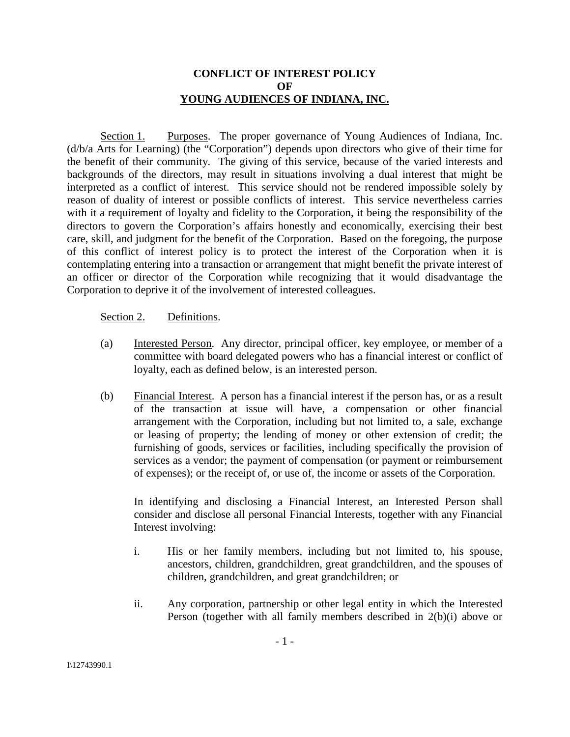## **CONFLICT OF INTEREST POLICY OF YOUNG AUDIENCES OF INDIANA, INC.**

Section 1. Purposes. The proper governance of Young Audiences of Indiana, Inc. (d/b/a Arts for Learning) (the "Corporation") depends upon directors who give of their time for the benefit of their community. The giving of this service, because of the varied interests and backgrounds of the directors, may result in situations involving a dual interest that might be interpreted as a conflict of interest. This service should not be rendered impossible solely by reason of duality of interest or possible conflicts of interest. This service nevertheless carries with it a requirement of loyalty and fidelity to the Corporation, it being the responsibility of the directors to govern the Corporation's affairs honestly and economically, exercising their best care, skill, and judgment for the benefit of the Corporation. Based on the foregoing, the purpose of this conflict of interest policy is to protect the interest of the Corporation when it is contemplating entering into a transaction or arrangement that might benefit the private interest of an officer or director of the Corporation while recognizing that it would disadvantage the Corporation to deprive it of the involvement of interested colleagues.

#### Section 2. Definitions.

- (a) Interested Person. Any director, principal officer, key employee, or member of a committee with board delegated powers who has a financial interest or conflict of loyalty, each as defined below, is an interested person.
- (b) Financial Interest. A person has a financial interest if the person has, or as a result of the transaction at issue will have, a compensation or other financial arrangement with the Corporation, including but not limited to, a sale, exchange or leasing of property; the lending of money or other extension of credit; the furnishing of goods, services or facilities, including specifically the provision of services as a vendor; the payment of compensation (or payment or reimbursement of expenses); or the receipt of, or use of, the income or assets of the Corporation.

In identifying and disclosing a Financial Interest, an Interested Person shall consider and disclose all personal Financial Interests, together with any Financial Interest involving:

- i. His or her family members, including but not limited to, his spouse, ancestors, children, grandchildren, great grandchildren, and the spouses of children, grandchildren, and great grandchildren; or
- ii. Any corporation, partnership or other legal entity in which the Interested Person (together with all family members described in 2(b)(i) above or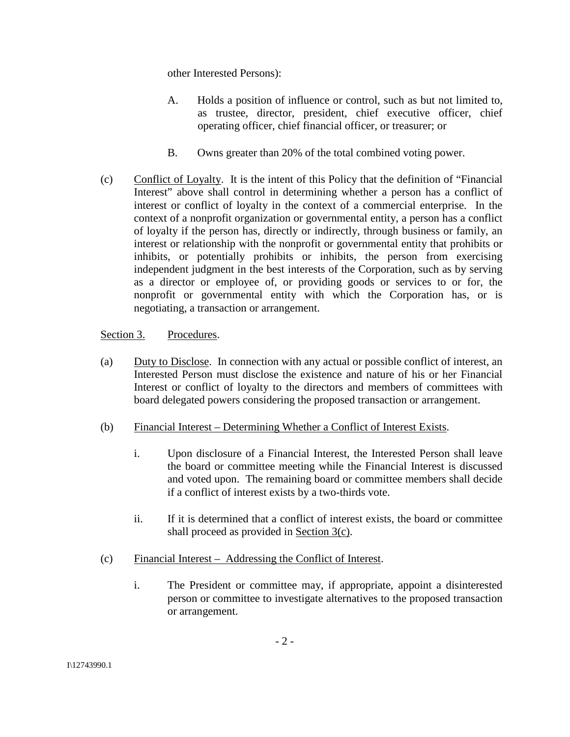other Interested Persons):

- A. Holds a position of influence or control, such as but not limited to, as trustee, director, president, chief executive officer, chief operating officer, chief financial officer, or treasurer; or
- B. Owns greater than 20% of the total combined voting power.
- (c) Conflict of Loyalty. It is the intent of this Policy that the definition of "Financial Interest" above shall control in determining whether a person has a conflict of interest or conflict of loyalty in the context of a commercial enterprise. In the context of a nonprofit organization or governmental entity, a person has a conflict of loyalty if the person has, directly or indirectly, through business or family, an interest or relationship with the nonprofit or governmental entity that prohibits or inhibits, or potentially prohibits or inhibits, the person from exercising independent judgment in the best interests of the Corporation, such as by serving as a director or employee of, or providing goods or services to or for, the nonprofit or governmental entity with which the Corporation has, or is negotiating, a transaction or arrangement.

Section 3. Procedures.

- (a) Duty to Disclose. In connection with any actual or possible conflict of interest, an Interested Person must disclose the existence and nature of his or her Financial Interest or conflict of loyalty to the directors and members of committees with board delegated powers considering the proposed transaction or arrangement.
- (b) Financial Interest Determining Whether a Conflict of Interest Exists.
	- i. Upon disclosure of a Financial Interest, the Interested Person shall leave the board or committee meeting while the Financial Interest is discussed and voted upon. The remaining board or committee members shall decide if a conflict of interest exists by a two-thirds vote.
	- ii. If it is determined that a conflict of interest exists, the board or committee shall proceed as provided in Section 3(c).
- (c) Financial Interest Addressing the Conflict of Interest.
	- i. The President or committee may, if appropriate, appoint a disinterested person or committee to investigate alternatives to the proposed transaction or arrangement.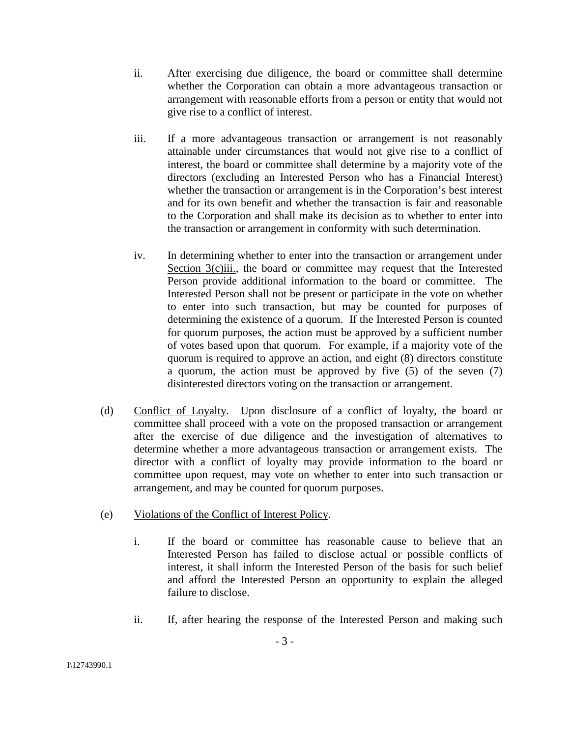- ii. After exercising due diligence, the board or committee shall determine whether the Corporation can obtain a more advantageous transaction or arrangement with reasonable efforts from a person or entity that would not give rise to a conflict of interest.
- iii. If a more advantageous transaction or arrangement is not reasonably attainable under circumstances that would not give rise to a conflict of interest, the board or committee shall determine by a majority vote of the directors (excluding an Interested Person who has a Financial Interest) whether the transaction or arrangement is in the Corporation's best interest and for its own benefit and whether the transaction is fair and reasonable to the Corporation and shall make its decision as to whether to enter into the transaction or arrangement in conformity with such determination.
- iv. In determining whether to enter into the transaction or arrangement under Section 3(c)iii., the board or committee may request that the Interested Person provide additional information to the board or committee. The Interested Person shall not be present or participate in the vote on whether to enter into such transaction, but may be counted for purposes of determining the existence of a quorum. If the Interested Person is counted for quorum purposes, the action must be approved by a sufficient number of votes based upon that quorum. For example, if a majority vote of the quorum is required to approve an action, and eight (8) directors constitute a quorum, the action must be approved by five (5) of the seven (7) disinterested directors voting on the transaction or arrangement.
- (d) Conflict of Loyalty. Upon disclosure of a conflict of loyalty, the board or committee shall proceed with a vote on the proposed transaction or arrangement after the exercise of due diligence and the investigation of alternatives to determine whether a more advantageous transaction or arrangement exists. The director with a conflict of loyalty may provide information to the board or committee upon request, may vote on whether to enter into such transaction or arrangement, and may be counted for quorum purposes.
- (e) Violations of the Conflict of Interest Policy.
	- i. If the board or committee has reasonable cause to believe that an Interested Person has failed to disclose actual or possible conflicts of interest, it shall inform the Interested Person of the basis for such belief and afford the Interested Person an opportunity to explain the alleged failure to disclose.
	- ii. If, after hearing the response of the Interested Person and making such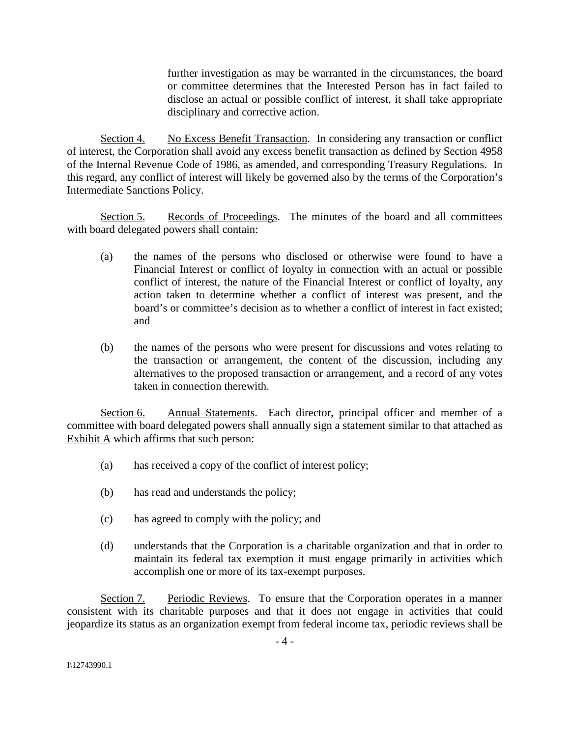further investigation as may be warranted in the circumstances, the board or committee determines that the Interested Person has in fact failed to disclose an actual or possible conflict of interest, it shall take appropriate disciplinary and corrective action.

Section 4. No Excess Benefit Transaction. In considering any transaction or conflict of interest, the Corporation shall avoid any excess benefit transaction as defined by Section 4958 of the Internal Revenue Code of 1986, as amended, and corresponding Treasury Regulations. In this regard, any conflict of interest will likely be governed also by the terms of the Corporation's Intermediate Sanctions Policy.

Section 5. Records of Proceedings. The minutes of the board and all committees with board delegated powers shall contain:

- (a) the names of the persons who disclosed or otherwise were found to have a Financial Interest or conflict of loyalty in connection with an actual or possible conflict of interest, the nature of the Financial Interest or conflict of loyalty, any action taken to determine whether a conflict of interest was present, and the board's or committee's decision as to whether a conflict of interest in fact existed; and
- (b) the names of the persons who were present for discussions and votes relating to the transaction or arrangement, the content of the discussion, including any alternatives to the proposed transaction or arrangement, and a record of any votes taken in connection therewith.

Section 6. Annual Statements. Each director, principal officer and member of a committee with board delegated powers shall annually sign a statement similar to that attached as Exhibit A which affirms that such person:

- (a) has received a copy of the conflict of interest policy;
- (b) has read and understands the policy;
- (c) has agreed to comply with the policy; and
- (d) understands that the Corporation is a charitable organization and that in order to maintain its federal tax exemption it must engage primarily in activities which accomplish one or more of its tax-exempt purposes.

Section 7. Periodic Reviews. To ensure that the Corporation operates in a manner consistent with its charitable purposes and that it does not engage in activities that could jeopardize its status as an organization exempt from federal income tax, periodic reviews shall be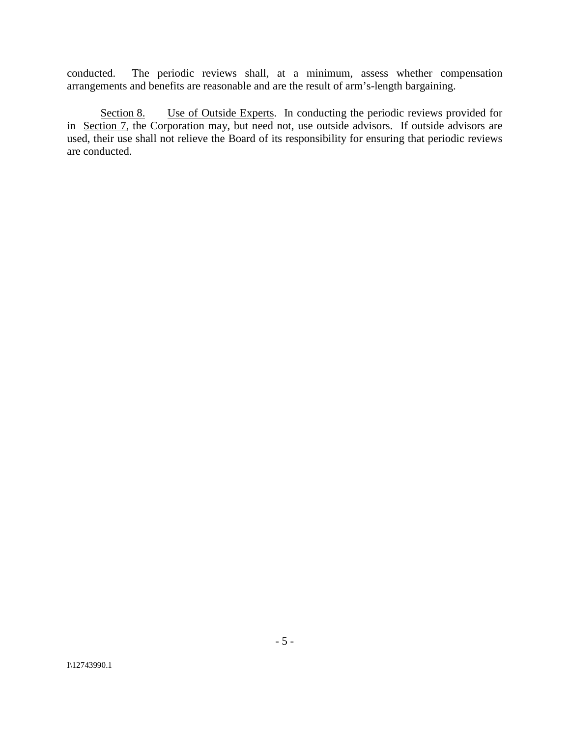conducted. The periodic reviews shall, at a minimum, assess whether compensation arrangements and benefits are reasonable and are the result of arm's-length bargaining.

Section 8. Use of Outside Experts. In conducting the periodic reviews provided for in Section 7, the Corporation may, but need not, use outside advisors. If outside advisors are used, their use shall not relieve the Board of its responsibility for ensuring that periodic reviews are conducted.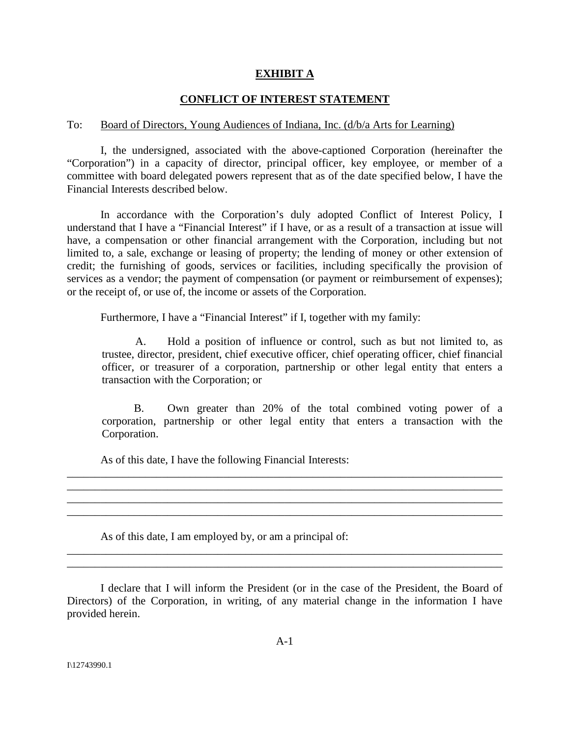## **EXHIBIT A**

# **CONFLICT OF INTEREST STATEMENT**

#### To: Board of Directors, Young Audiences of Indiana, Inc. (d/b/a Arts for Learning)

I, the undersigned, associated with the above-captioned Corporation (hereinafter the "Corporation") in a capacity of director, principal officer, key employee, or member of a committee with board delegated powers represent that as of the date specified below, I have the Financial Interests described below.

In accordance with the Corporation's duly adopted Conflict of Interest Policy, I understand that I have a "Financial Interest" if I have, or as a result of a transaction at issue will have, a compensation or other financial arrangement with the Corporation, including but not limited to, a sale, exchange or leasing of property; the lending of money or other extension of credit; the furnishing of goods, services or facilities, including specifically the provision of services as a vendor; the payment of compensation (or payment or reimbursement of expenses); or the receipt of, or use of, the income or assets of the Corporation.

Furthermore, I have a "Financial Interest" if I, together with my family:

A. Hold a position of influence or control, such as but not limited to, as trustee, director, president, chief executive officer, chief operating officer, chief financial officer, or treasurer of a corporation, partnership or other legal entity that enters a transaction with the Corporation; or

B. Own greater than 20% of the total combined voting power of a corporation, partnership or other legal entity that enters a transaction with the Corporation.

As of this date, I have the following Financial Interests:

As of this date, I am employed by, or am a principal of:

I declare that I will inform the President (or in the case of the President, the Board of Directors) of the Corporation, in writing, of any material change in the information I have provided herein.

\_\_\_\_\_\_\_\_\_\_\_\_\_\_\_\_\_\_\_\_\_\_\_\_\_\_\_\_\_\_\_\_\_\_\_\_\_\_\_\_\_\_\_\_\_\_\_\_\_\_\_\_\_\_\_\_\_\_\_\_\_\_\_\_\_\_\_\_\_\_\_\_\_\_\_\_\_\_ \_\_\_\_\_\_\_\_\_\_\_\_\_\_\_\_\_\_\_\_\_\_\_\_\_\_\_\_\_\_\_\_\_\_\_\_\_\_\_\_\_\_\_\_\_\_\_\_\_\_\_\_\_\_\_\_\_\_\_\_\_\_\_\_\_\_\_\_\_\_\_\_\_\_\_\_\_\_

\_\_\_\_\_\_\_\_\_\_\_\_\_\_\_\_\_\_\_\_\_\_\_\_\_\_\_\_\_\_\_\_\_\_\_\_\_\_\_\_\_\_\_\_\_\_\_\_\_\_\_\_\_\_\_\_\_\_\_\_\_\_\_\_\_\_\_\_\_\_\_\_\_\_\_\_\_\_ \_\_\_\_\_\_\_\_\_\_\_\_\_\_\_\_\_\_\_\_\_\_\_\_\_\_\_\_\_\_\_\_\_\_\_\_\_\_\_\_\_\_\_\_\_\_\_\_\_\_\_\_\_\_\_\_\_\_\_\_\_\_\_\_\_\_\_\_\_\_\_\_\_\_\_\_\_\_ \_\_\_\_\_\_\_\_\_\_\_\_\_\_\_\_\_\_\_\_\_\_\_\_\_\_\_\_\_\_\_\_\_\_\_\_\_\_\_\_\_\_\_\_\_\_\_\_\_\_\_\_\_\_\_\_\_\_\_\_\_\_\_\_\_\_\_\_\_\_\_\_\_\_\_\_\_\_ \_\_\_\_\_\_\_\_\_\_\_\_\_\_\_\_\_\_\_\_\_\_\_\_\_\_\_\_\_\_\_\_\_\_\_\_\_\_\_\_\_\_\_\_\_\_\_\_\_\_\_\_\_\_\_\_\_\_\_\_\_\_\_\_\_\_\_\_\_\_\_\_\_\_\_\_\_\_

I\12743990.1